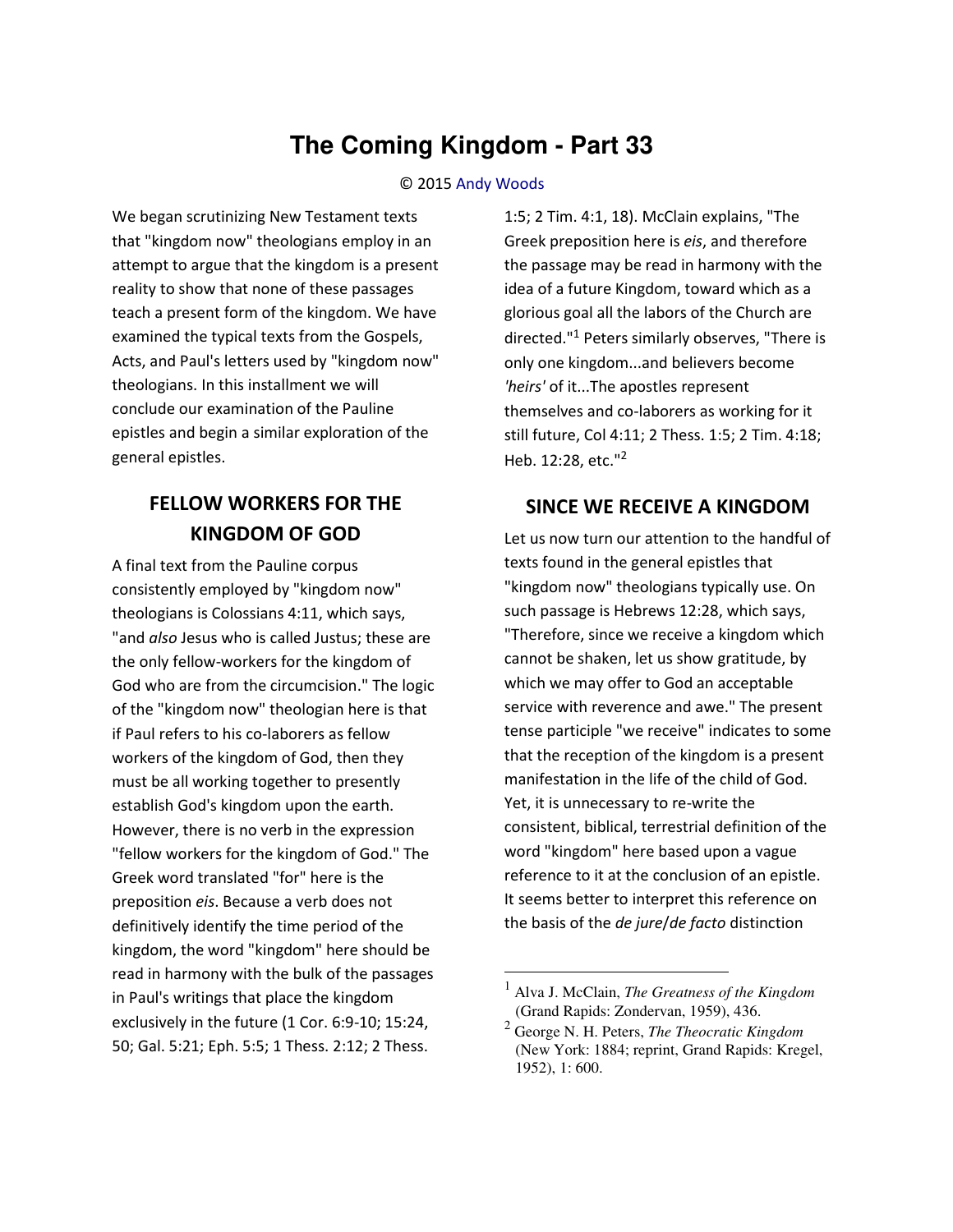# **The Coming Kingdom - Part 33**

#### © 2015 [Andy Woods](http://www.spiritandtruth.org/id/aw.htm)

We began scrutinizing New Testament texts that "kingdom now" theologians employ in an attempt to argue that the kingdom is a present reality to show that none of these passages teach a present form of the kingdom. We have examined the typical texts from the Gospels, Acts, and Paul's letters used by "kingdom now" theologians. In this installment we will conclude our examination of the Pauline epistles and begin a similar exploration of the general epistles.

## **FELLOW WORKERS FOR THE KINGDOM OF GOD**

A final text from the Pauline corpus consistently employed by "kingdom now" theologians is Colossians 4:11, which says, "and *also* Jesus who is called Justus; these are the only fellow-workers for the kingdom of God who are from the circumcision." The logic of the "kingdom now" theologian here is that if Paul refers to his co-laborers as fellow workers of the kingdom of God, then they must be all working together to presently establish God's kingdom upon the earth. However, there is no verb in the expression "fellow workers for the kingdom of God." The Greek word translated "for" here is the preposition *eis*. Because a verb does not definitively identify the time period of the kingdom, the word "kingdom" here should be read in harmony with the bulk of the passages in Paul's writings that place the kingdom exclusively in the future (1 Cor. 6:9-10; 15:24, 50; Gal. 5:21; Eph. 5:5; 1 Thess. 2:12; 2 Thess.

1:5; 2 Tim. 4:1, 18). McClain explains, "The Greek preposition here is *eis*, and therefore the passage may be read in harmony with the idea of a future Kingdom, toward which as a glorious goal all the labors of the Church are directed."<sup>1</sup> Peters similarly observes, "There is only one kingdom...and believers become *'heirs'* of it...The apostles represent themselves and co-laborers as working for it still future, Col 4:11; 2 Thess. 1:5; 2 Tim. 4:18; Heb. 12:28, etc."<sup>2</sup>

### **SINCE WE RECEIVE A KINGDOM**

Let us now turn our attention to the handful of texts found in the general epistles that "kingdom now" theologians typically use. On such passage is Hebrews 12:28, which says, "Therefore, since we receive a kingdom which cannot be shaken, let us show gratitude, by which we may offer to God an acceptable service with reverence and awe." The present tense participle "we receive" indicates to some that the reception of the kingdom is a present manifestation in the life of the child of God. Yet, it is unnecessary to re-write the consistent, biblical, terrestrial definition of the word "kingdom" here based upon a vague reference to it at the conclusion of an epistle. It seems better to interpret this reference on the basis of the *de jure*/*de facto* distinction

 $\overline{\phantom{0}}$ 

<sup>1</sup> Alva J. McClain, *The Greatness of the Kingdom* (Grand Rapids: Zondervan, 1959), 436.

<sup>2</sup> George N. H. Peters, *The Theocratic Kingdom* (New York: 1884; reprint, Grand Rapids: Kregel, 1952), 1: 600.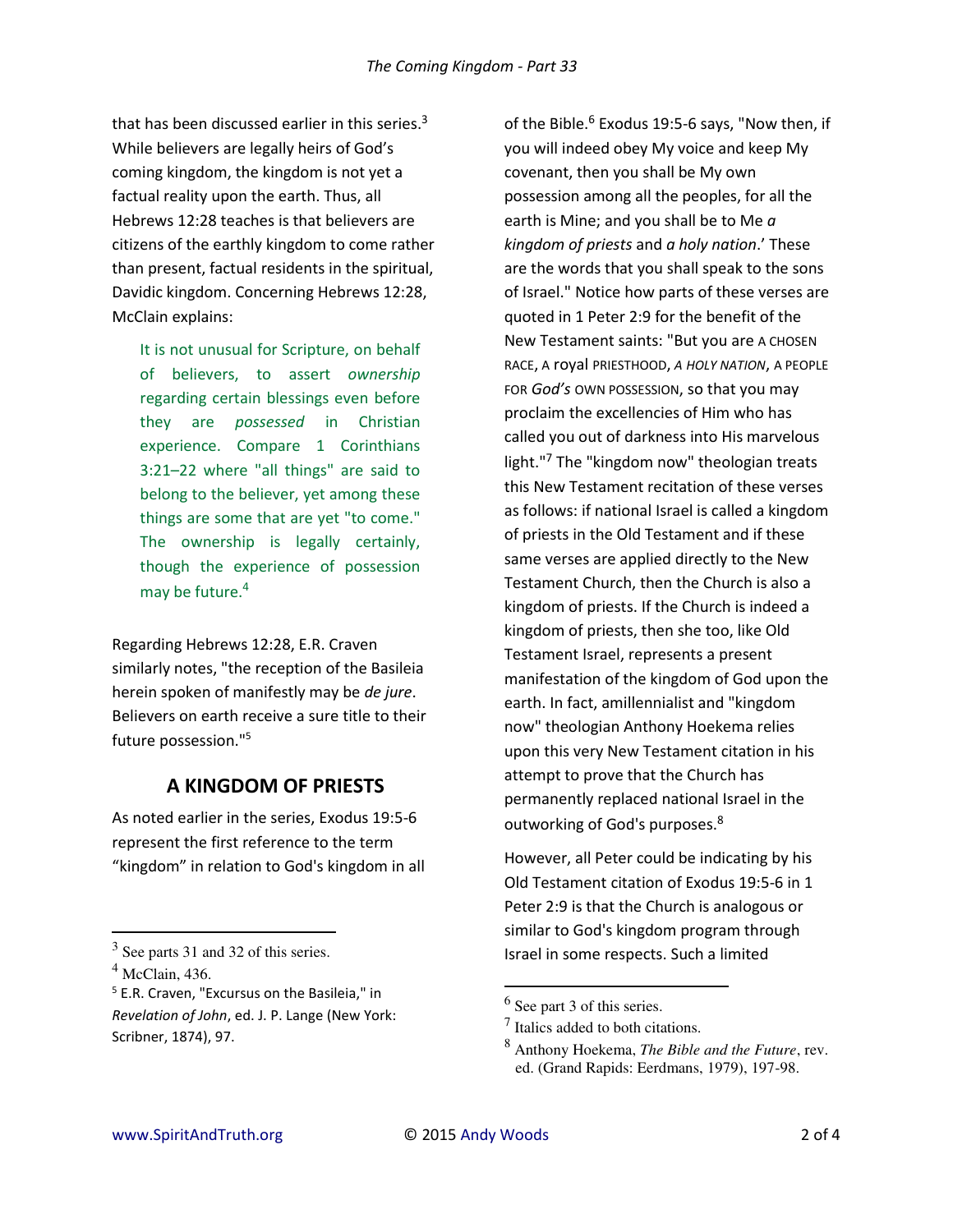that has been discussed earlier in this series. $3$ While believers are legally heirs of God's coming kingdom, the kingdom is not yet a factual reality upon the earth. Thus, all Hebrews 12:28 teaches is that believers are citizens of the earthly kingdom to come rather than present, factual residents in the spiritual, Davidic kingdom. Concerning Hebrews 12:28, McClain explains:

It is not unusual for Scripture, on behalf of believers, to assert *ownership* regarding certain blessings even before they are *possessed* in Christian experience. Compare 1 Corinthians 3:21–22 where "all things" are said to belong to the believer, yet among these things are some that are yet "to come." The ownership is legally certainly, though the experience of possession may be future.<sup>4</sup>

Regarding Hebrews 12:28, E.R. Craven similarly notes, "the reception of the Basileia herein spoken of manifestly may be *de jure*. Believers on earth receive a sure title to their future possession."<sup>5</sup>

### **A KINGDOM OF PRIESTS**

As noted earlier in the series, Exodus 19:5-6 represent the first reference to the term "kingdom" in relation to God's kingdom in all

l

of the Bible.<sup>6</sup> Exodus 19:5-6 says, "Now then, if you will indeed obey My voice and keep My covenant, then you shall be My own possession among all the peoples, for all the earth is Mine; and you shall be to Me *a kingdom of priests* and *a holy nation*.' These are the words that you shall speak to the sons of Israel." Notice how parts of these verses are quoted in 1 Peter 2:9 for the benefit of the New Testament saints: "But you are A CHOSEN RACE, A royal PRIESTHOOD, *A HOLY NATION*, A PEOPLE FOR *God's* OWN POSSESSION, so that you may proclaim the excellencies of Him who has called you out of darkness into His marvelous light."<sup>7</sup> The "kingdom now" theologian treats this New Testament recitation of these verses as follows: if national Israel is called a kingdom of priests in the Old Testament and if these same verses are applied directly to the New Testament Church, then the Church is also a kingdom of priests. If the Church is indeed a kingdom of priests, then she too, like Old Testament Israel, represents a present manifestation of the kingdom of God upon the earth. In fact, amillennialist and "kingdom now" theologian Anthony Hoekema relies upon this very New Testament citation in his attempt to prove that the Church has permanently replaced national Israel in the outworking of God's purposes.<sup>8</sup>

However, all Peter could be indicating by his Old Testament citation of Exodus 19:5-6 in 1 Peter 2:9 is that the Church is analogous or similar to God's kingdom program through Israel in some respects. Such a limited

l

 $3$  See parts 31 and 32 of this series.

 $<sup>4</sup>$  McClain, 436.</sup>

<sup>&</sup>lt;sup>5</sup> E.R. Craven, "Excursus on the Basileia," in *Revelation of John*, ed. J. P. Lange (New York: Scribner, 1874), 97.

 $<sup>6</sup>$  See part 3 of this series.</sup>

 $<sup>7</sup>$  Italics added to both citations.</sup>

<sup>8</sup> Anthony Hoekema, *The Bible and the Future*, rev. ed. (Grand Rapids: Eerdmans, 1979), 197-98.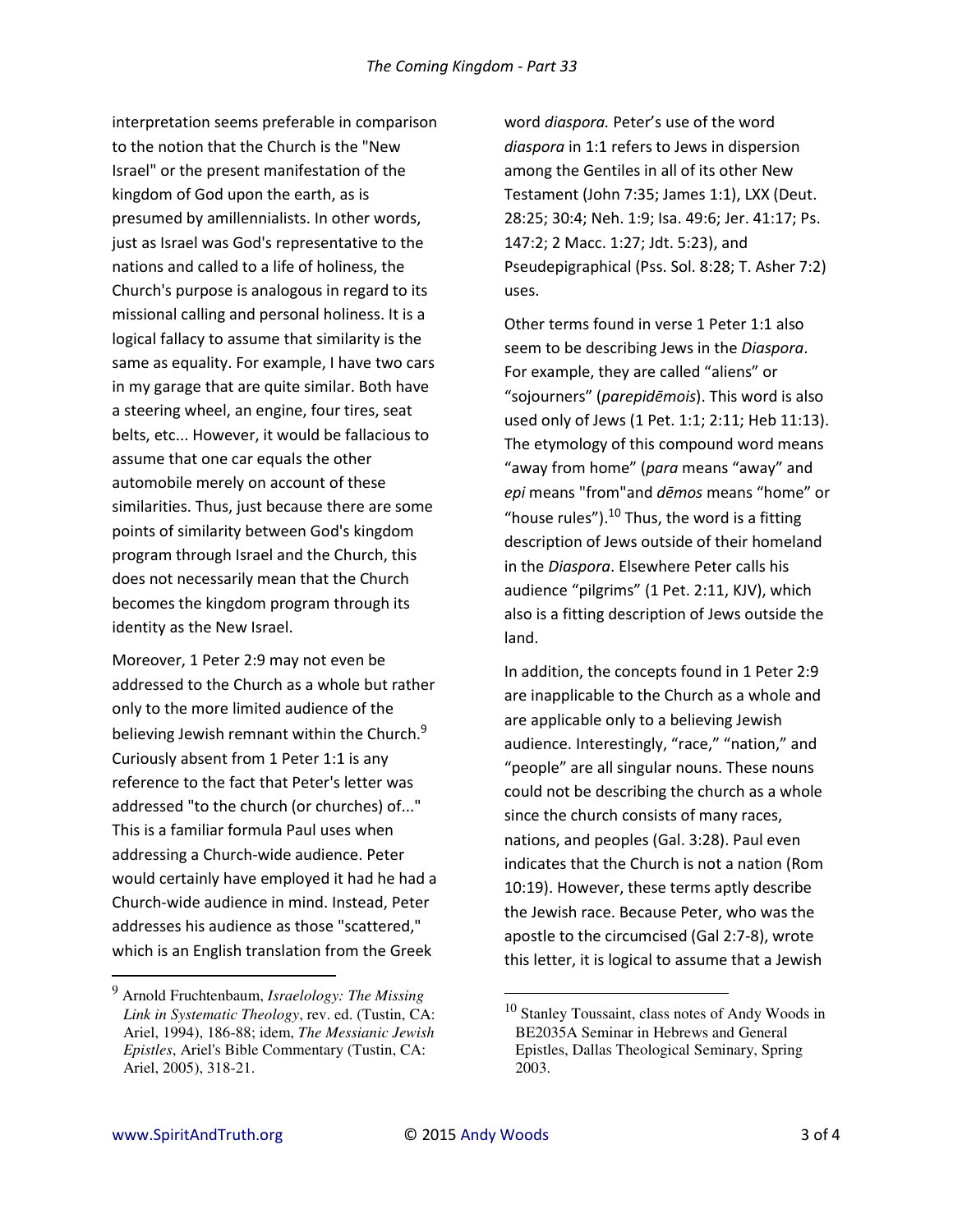interpretation seems preferable in comparison to the notion that the Church is the "New Israel" or the present manifestation of the kingdom of God upon the earth, as is presumed by amillennialists. In other words, just as Israel was God's representative to the nations and called to a life of holiness, the Church's purpose is analogous in regard to its missional calling and personal holiness. It is a logical fallacy to assume that similarity is the same as equality. For example, I have two cars in my garage that are quite similar. Both have a steering wheel, an engine, four tires, seat belts, etc... However, it would be fallacious to assume that one car equals the other automobile merely on account of these similarities. Thus, just because there are some points of similarity between God's kingdom program through Israel and the Church, this does not necessarily mean that the Church becomes the kingdom program through its identity as the New Israel.

Moreover, 1 Peter 2:9 may not even be addressed to the Church as a whole but rather only to the more limited audience of the believing Jewish remnant within the Church.<sup>9</sup> Curiously absent from 1 Peter 1:1 is any reference to the fact that Peter's letter was addressed "to the church (or churches) of..." This is a familiar formula Paul uses when addressing a Church-wide audience. Peter would certainly have employed it had he had a Church-wide audience in mind. Instead, Peter addresses his audience as those "scattered," which is an English translation from the Greek

word *diaspora.* Peter's use of the word *diaspora* in 1:1 refers to Jews in dispersion among the Gentiles in all of its other New Testament (John 7:35; James 1:1), LXX (Deut. 28:25; 30:4; Neh. 1:9; Isa. 49:6; Jer. 41:17; Ps. 147:2; 2 Macc. 1:27; Jdt. 5:23), and Pseudepigraphical (Pss. Sol. 8:28; T. Asher 7:2) uses.

Other terms found in verse 1 Peter 1:1 also seem to be describing Jews in the *Diaspora*. For example, they are called "aliens" or "sojourners" (*parepidēmois*). This word is also used only of Jews (1 Pet. 1:1; 2:11; Heb 11:13). The etymology of this compound word means "away from home" (para means "away" and *epi* means "from"and *dēmos* means "home" or "house rules"). $^{10}$  Thus, the word is a fitting description of Jews outside of their homeland in the *Diaspora*. Elsewhere Peter calls his audience "pilgrims" (1 Pet. 2:11, KJV), which also is a fitting description of Jews outside the land.

In addition, the concepts found in 1 Peter 2:9 are inapplicable to the Church as a whole and are applicable only to a believing Jewish audience. Interestingly, "race," "nation," and "people" are all singular nouns. These nouns could not be describing the church as a whole since the church consists of many races, nations, and peoples (Gal. 3:28). Paul even indicates that the Church is not a nation (Rom 10:19). However, these terms aptly describe the Jewish race. Because Peter, who was the apostle to the circumcised (Gal 2:7-8), wrote this letter, it is logical to assume that a Jewish

 $\overline{\phantom{0}}$ 

 $\overline{a}$ 

<sup>9</sup> Arnold Fruchtenbaum, *Israelology: The Missing Link in Systematic Theology*, rev. ed. (Tustin, CA: Ariel, 1994), 186-88; idem, *The Messianic Jewish Epistles*, Ariel's Bible Commentary (Tustin, CA: Ariel, 2005), 318-21.

<sup>10</sup> Stanley Toussaint, class notes of Andy Woods in BE2035A Seminar in Hebrews and General Epistles, Dallas Theological Seminary, Spring 2003.